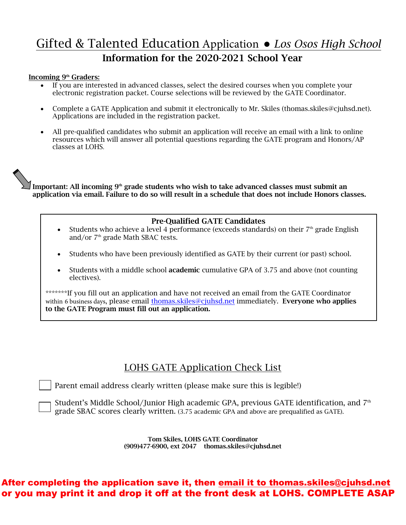# Gifted & Talented Education Application ● *Los Osos High School* Information for the 2020-2021 School Year

#### Incoming 9<sup>th</sup> Graders:

- If you are interested in advanced classes, select the desired courses when you complete your electronic registration packet. Course selections will be reviewed by the GATE Coordinator.
- Complete a GATE Application and submit it electronically to Mr. Skiles (thomas.skiles@cjuhsd.net). Applications are included in the registration packet.
- All pre-qualified candidates who submit an application will receive an email with a link to online resources which will answer all potential questions regarding the GATE program and Honors/AP classes at LOHS.

Important: All incoming  $9<sup>th</sup>$  grade students who wish to take advanced classes must submit an application via email. Failure to do so will result in a schedule that does not include Honors classes.

#### Pre-Qualified GATE Candidates

- Students who achieve a level 4 performance (exceeds standards) on their  $7<sup>th</sup>$  grade English and/or 7<sup>th</sup> grade Math SBAC tests.
- Students who have been previously identified as GATE by their current (or past) school.
- Students with a middle school academic cumulative GPA of 3.75 and above (not counting electives).

\*\*\*\*\*\*\*If you fill out an application and have not received an email from the GATE Coordinator within 6 business days, please email thomas.skiles@cjuhsd.net immediately. Everyone who applies to the GATE Program must fill out an application.

### LOHS GATE Application Check List

Parent email address clearly written (please make sure this is legible!)

Student's Middle School/Junior High academic GPA, previous GATE identification, and 7<sup>th</sup> grade SBAC scores clearly written. (3.75 academic GPA and above are prequalified as GATE).

> Tom Skiles, LOHS GATE Coordinator (909)477-6900, ext 2047 thomas.skiles@cjuhsd.net

### After completing the application save it, then email it to thomas.skiles@cjuhsd.net or you may print it and drop it off at the front desk at LOHS. COMPLETE ASAP